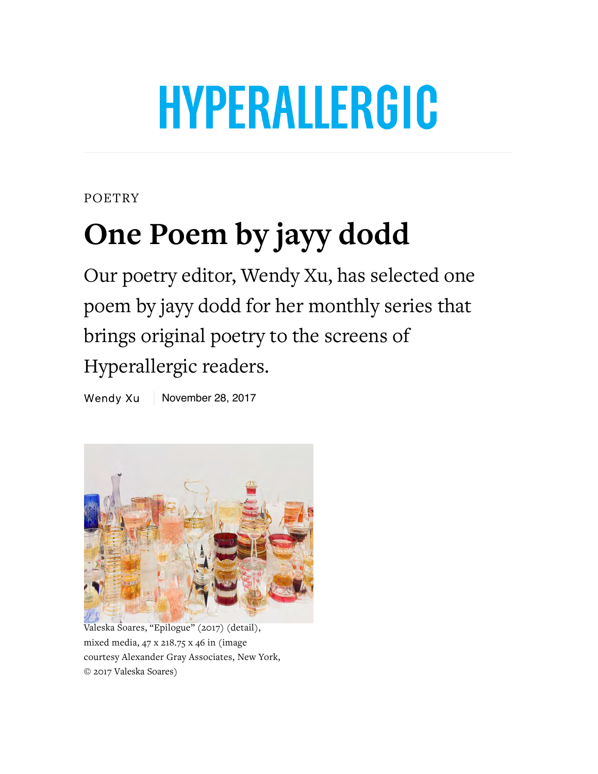## HYPERALLERGIC

POETRY

## **One Poem by jayy dodd**

Our poetry editor, Wendy Xu, has selected one poem by jayy dodd for her monthly series that brings original poetry to the screens of Hyperallergic readers.

Wendy Xu November 28, 2017



Valeska Soares, "Epilogue" (2017) (detail), mixed media, 47 x 218.75 x 46 in (image courtesy Alexander Gray Associates, New York, © 2017 Valeska Soares)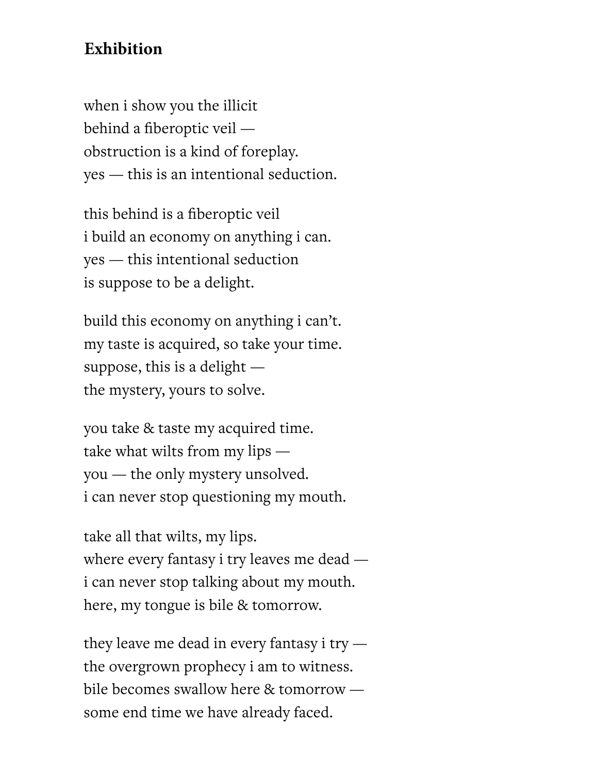## **Exhibition**

when i show you the illicit behind a fiberoptic veil obstruction is a kind of foreplay.  $yes$  — this is an intentional seduction.

this behind is a fiberoptic veil i build an economy on anything i can. yes — this intentional seduction is suppose to be a delight.

build this economy on anything i can't. my taste is acquired, so take your time. suppose, this is a delight  $$ the mystery, yours to solve.

you take & taste my acquired time. take what wilts from my lips  $$ you — the only mystery unsolved. i can never stop questioning my mouth.

take all that wilts, my lips. where every fantasy i try leaves me dead  $$ i can never stop talking about my mouth. here, my tongue is bile & tomorrow.

they leave me dead in every fantasy i try  $$ the overgrown prophecy i am to witness. bile becomes swallow here  $&$  tomorrow some end time we have already faced.